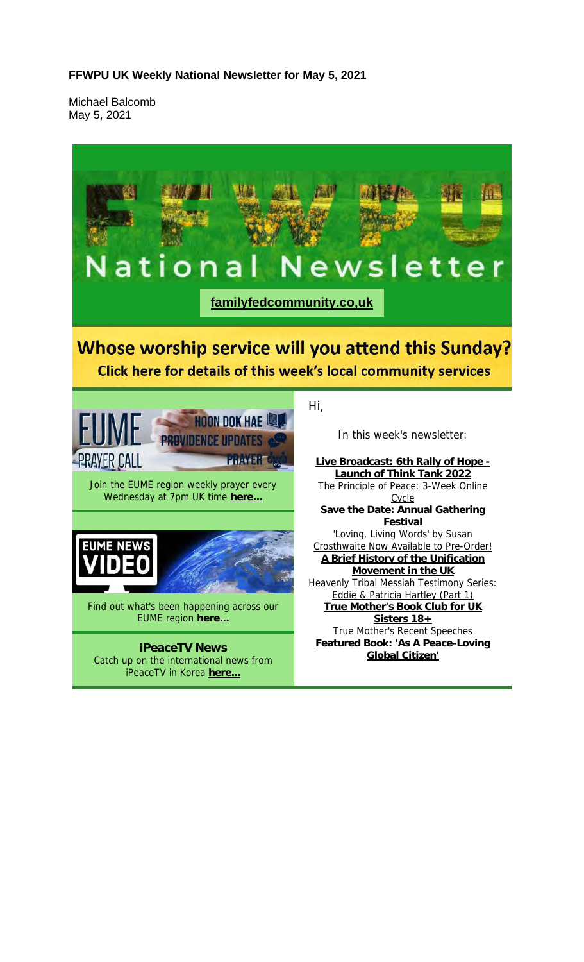#### **FFWPU UK Weekly National Newsletter for May 5, 2021**

Michael Balcomb May 5, 2021

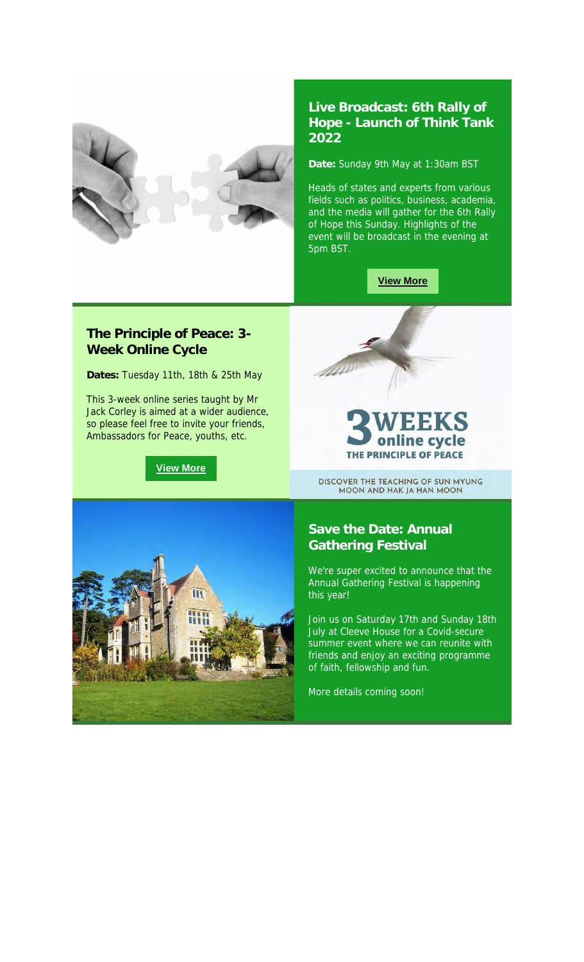

### **Live Broadcast: 6th Rally of Hope - Launch of Think Tank 2022**

**Date:** Sunday 9th May at 1:30am BST

Heads of states and experts from various fields such as politics, business, academia, and the media will gather for the 6th Rally of Hope this Sunday. Highlights of the event will be broadcast in the evening at 5pm BST.

**View More**

### **The Principle of Peace: 3- Week Online Cycle**

**Dates:** Tuesday 11th, 18th & 25th May

This 3-week online series taught by Mr Jack Corley is aimed at a wider audience, so please feel free to invite your friends, Ambassadors for Peace, youths, etc.

**View More**



### le e cvc THE PRINCIPLE OF PEACE

DISCOVER THE TEACHING OF SUN MYUNG MOON AND HAK JA HAN MOON



### **Save the Date: Annual Gathering Festival**

We're super excited to announce that the Annual Gathering Festival is happening this year!

Join us on Saturday 17th and Sunday 18th July at Cleeve House for a Covid-secure summer event where we can reunite with friends and enjoy an exciting programme of faith, fellowship and fun.

More details coming soon!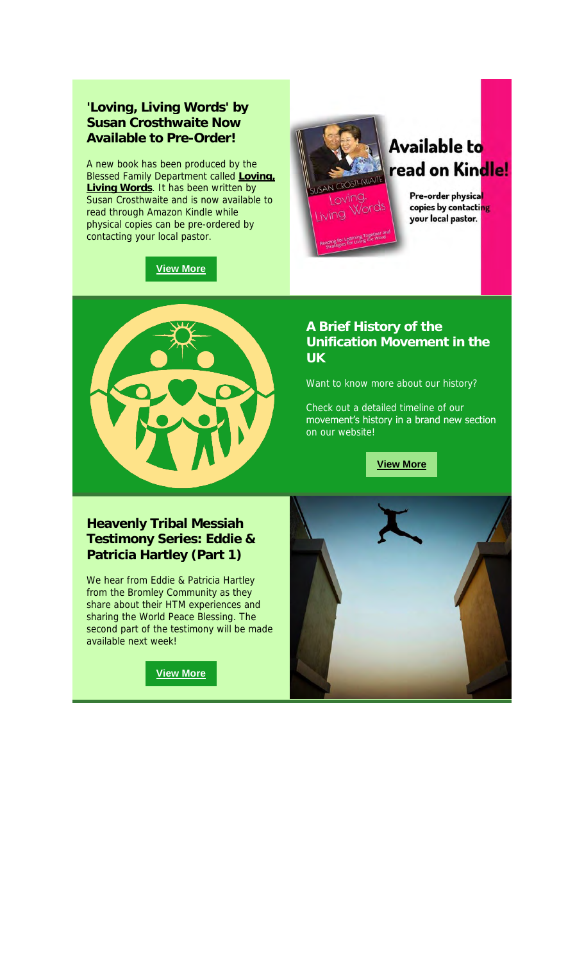### **'Loving, Living Words' by Susan Crosthwaite Now Available to Pre-Order!**

A new book has been produced by the Blessed Family Department called **Loving, Living Words**. It has been written by Susan Crosthwaite and is now available to read through Amazon Kindle while physical copies can be pre-ordered by contacting your local pastor.





## **Available to** read on Kindle!

Pre-order physical copies by contacting your local pastor.



### **A Brief History of the Unification Movement in the UK**

Want to know more about our history?

Check out a detailed timeline of our movement's history in a brand new section on our website!

**View More**

### **Heavenly Tribal Messiah Testimony Series: Eddie & Patricia Hartley (Part 1)**

We hear from Eddie & Patricia Hartley from the Bromley Community as they share about their HTM experiences and sharing the World Peace Blessing. The second part of the testimony will be made available next week!

**View More**

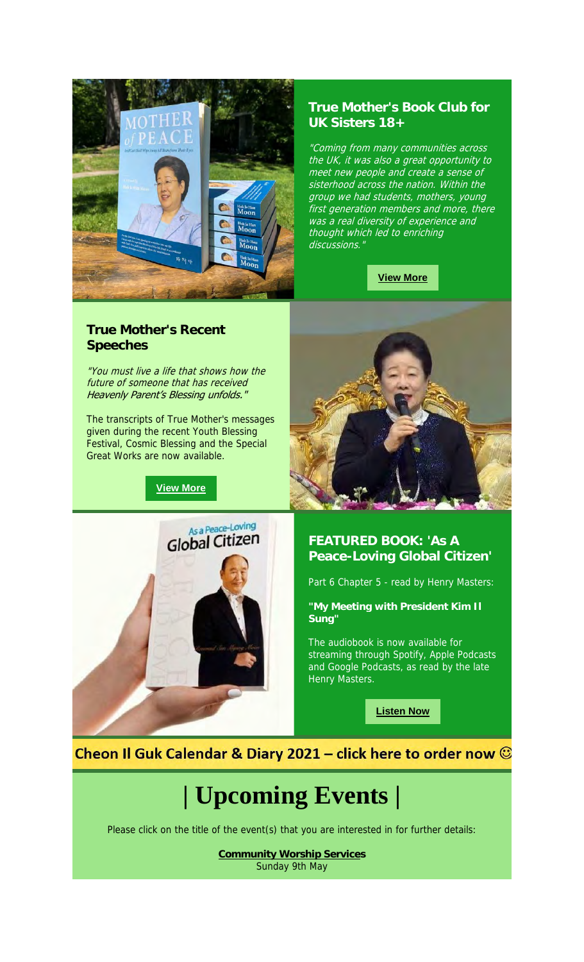

### **True Mother's Book Club for UK Sisters 18+**

"Coming from many communities across the UK, it was also a great opportunity to meet new people and create a sense of sisterhood across the nation. Within the group we had students, mothers, young first generation members and more, there was a real diversity of experience and thought which led to enriching discussions."

**View More**

### **True Mother's Recent Speeches**

"You must live a life that shows how the future of someone that has received Heavenly Parent's Blessing unfolds."

The transcripts of True Mother's messages given during the recent Youth Blessing Festival, Cosmic Blessing and the Special Great Works are now available.

**View More**





**"My Meeting with President Kim Il Sung"**

The audiobook is now available for streaming through Spotify, Apple Podcasts and Google Podcasts, as read by the late Henry Masters.

**Listen Now**

Cheon Il Guk Calendar & Diary 2021 – click here to order now  $\odot$ 

# **| Upcoming Events |**

Please click on the title of the event(s) that you are interested in for further details:

**Community Worship Services** Sunday 9th May